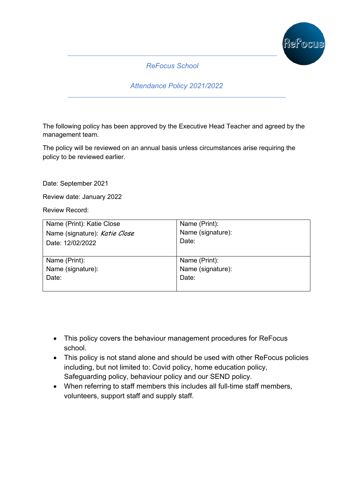

*ReFocus School*

*Attendance Policy 2021/2022*

The following policy has been approved by the Executive Head Teacher and agreed by the management team.

The policy will be reviewed on an annual basis unless circumstances arise requiring the policy to be reviewed earlier.

Date: September 2021

Review date: January 2022

Review Record:

| Name (Print): Katie Close     | Name (Print):     |
|-------------------------------|-------------------|
| Name (signature): Katie Close | Name (signature): |
| Date: 12/02/2022              | Date:             |
| Name (Print):                 | Name (Print):     |
| Name (signature):             | Name (signature): |
| Date:                         | Date:             |
|                               |                   |

- This policy covers the behaviour management procedures for ReFocus school.
- This policy is not stand alone and should be used with other ReFocus policies including, but not limited to: Covid policy, home education policy, Safeguarding policy, behaviour policy and our SEND policy.
- When referring to staff members this includes all full-time staff members, volunteers, support staff and supply staff.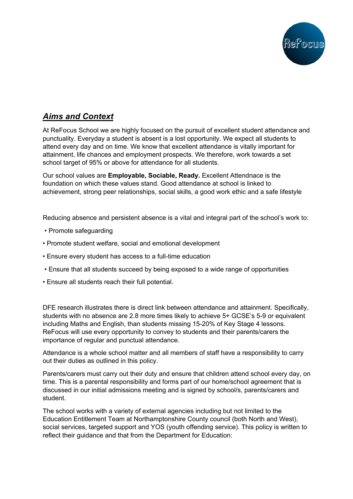

# *Aims and Context*

At ReFocus School we are highly focused on the pursuit of excellent student attendance and punctuality. Everyday a student is absent is a lost opportunity. We expect all students to attend every day and on time. We know that excellent attendance is vitally important for attainment, life chances and employment prospects. We therefore, work towards a set school target of 95% or above for attendance for all students.

Our school values are **Employable, Sociable, Ready.** Excellent Attendnace is the foundation on which these values stand. Good attendance at school is linked to achievement, strong peer relationships, social skills, a good work ethic and a safe lifestyle

Reducing absence and persistent absence is a vital and integral part of the school's work to:

- Promote safeguarding
- Promote student welfare, social and emotional development
- Ensure every student has access to a full-time education
- Ensure that all students succeed by being exposed to a wide range of opportunities
- Ensure all students reach their full potential.

DFE research illustrates there is direct link between attendance and attainment. Specifically, students with no absence are 2.8 more times likely to achieve 5+ GCSE's 5-9 or equivalent including Maths and English, than students missing 15-20% of Key Stage 4 lessons. ReFocus will use every opportunity to convey to students and their parents/carers the importance of regular and punctual attendance.

Attendance is a whole school matter and all members of staff have a responsibility to carry out their duties as outlined in this policy.

Parents/carers must carry out their duty and ensure that children attend school every day, on time. This is a parental responsibility and forms part of our home/school agreement that is discussed in our initial admissions meeting and is signed by school/s, parents/carers and student.

The school works with a variety of external agencies including but not limited to the Education Entitlement Team at Northamptonshire County council (both North and West), social services, targeted support and YOS (youth offending service). This policy is written to reflect their guidance and that from the Department for Education: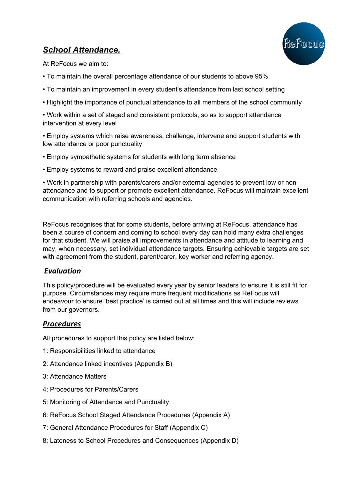# *School Attendance.*



At ReFocus we aim to:

- To maintain the overall percentage attendance of our students to above 95%
- To maintain an improvement in every student's attendance from last school setting
- Highlight the importance of punctual attendance to all members of the school community

• Work within a set of staged and consistent protocols, so as to support attendance intervention at every level

• Employ systems which raise awareness, challenge, intervene and support students with low attendance or poor punctuality

- Employ sympathetic systems for students with long term absence
- Employ systems to reward and praise excellent attendance

• Work in partnership with parents/carers and/or external agencies to prevent low or nonattendance and to support or promote excellent attendance. ReFocus will maintain excellent communication with referring schools and agencies.

ReFocus recognises that for some students, before arriving at ReFocus, attendance has been a course of concern and coming to school every day can hold many extra challenges for that student. We will praise all improvements in attendance and attitude to learning and may, when necessary, set individual attendance targets. Ensuring achievable targets are set with agreement from the student, parent/carer, key worker and referring agency.

### *Evaluation*

This policy/procedure will be evaluated every year by senior leaders to ensure it is still fit for purpose. Circumstances may require more frequent modifications as ReFocus will endeavour to ensure 'best practice' is carried out at all times and this will include reviews from our governors.

## *Procedures*

All procedures to support this policy are listed below:

- 1: Responsibilities linked to attendance
- 2: Attendance linked incentives (Appendix B)
- 3: Attendance Matters
- 4: Procedures for Parents/Carers
- 5: Monitoring of Attendance and Punctuality
- 6: ReFocus School Staged Attendance Procedures (Appendix A)
- 7: General Attendance Procedures for Staff (Appendix C)
- 8: Lateness to School Procedures and Consequences (Appendix D)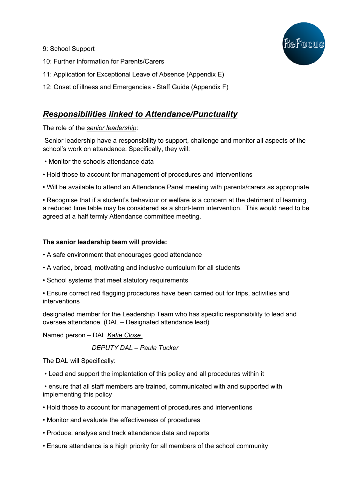

- 9: School Support
- 10: Further Information for Parents/Carers
- 11: Application for Exceptional Leave of Absence (Appendix E)
- 12: Onset of illness and Emergencies Staff Guide (Appendix F)

## *Responsibilities linked to Attendance/Punctuality*

The role of the *senior leadership*:

Senior leadership have a responsibility to support, challenge and monitor all aspects of the school's work on attendance. Specifically, they will:

- Monitor the schools attendance data
- Hold those to account for management of procedures and interventions

• Will be available to attend an Attendance Panel meeting with parents/carers as appropriate

• Recognise that if a student's behaviour or welfare is a concern at the detriment of learning, a reduced time table may be considered as a short-term intervention. This would need to be agreed at a half termly Attendance committee meeting.

### **The senior leadership team will provide:**

- A safe environment that encourages good attendance
- A varied, broad, motivating and inclusive curriculum for all students
- School systems that meet statutory requirements
- Ensure correct red flagging procedures have been carried out for trips, activities and interventions

designated member for the Leadership Team who has specific responsibility to lead and oversee attendance. (DAL – Designated attendance lead)

Named person – DAL *Katie Close.* 

### *DEPUTY DAL – Paula Tucker*

The DAL will Specifically:

• Lead and support the implantation of this policy and all procedures within it

• ensure that all staff members are trained, communicated with and supported with implementing this policy

- Hold those to account for management of procedures and interventions
- Monitor and evaluate the effectiveness of procedures
- Produce, analyse and track attendance data and reports
- Ensure attendance is a high priority for all members of the school community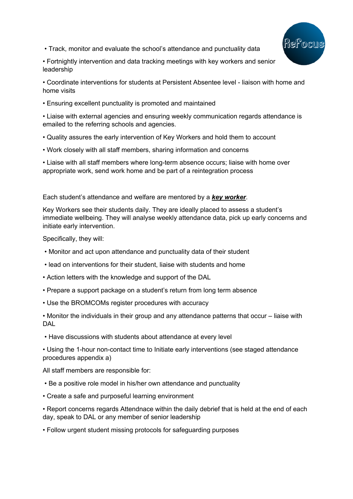

• Track, monitor and evaluate the school's attendance and punctuality data

• Fortnightly intervention and data tracking meetings with key workers and senior leadership

• Coordinate interventions for students at Persistent Absentee level - liaison with home and home visits

• Ensuring excellent punctuality is promoted and maintained

• Liaise with external agencies and ensuring weekly communication regards attendance is emailed to the referring schools and agencies.

- Quality assures the early intervention of Key Workers and hold them to account
- Work closely with all staff members, sharing information and concerns

• Liaise with all staff members where long-term absence occurs; liaise with home over appropriate work, send work home and be part of a reintegration process

Each student's attendance and welfare are mentored by a *key worker*.

Key Workers see their students daily. They are ideally placed to assess a student's immediate wellbeing. They will analyse weekly attendance data, pick up early concerns and initiate early intervention.

Specifically, they will:

- Monitor and act upon attendance and punctuality data of their student
- lead on interventions for their student, liaise with students and home
- Action letters with the knowledge and support of the DAL
- Prepare a support package on a student's return from long term absence
- Use the BROMCOMs register procedures with accuracy

• Monitor the individuals in their group and any attendance patterns that occur – liaise with DAL

• Have discussions with students about attendance at every level

• Using the 1-hour non-contact time to Initiate early interventions (see staged attendance procedures appendix a)

All staff members are responsible for:

- Be a positive role model in his/her own attendance and punctuality
- Create a safe and purposeful learning environment

• Report concerns regards Attendnace within the daily debrief that is held at the end of each day, speak to DAL or any member of senior leadership

• Follow urgent student missing protocols for safeguarding purposes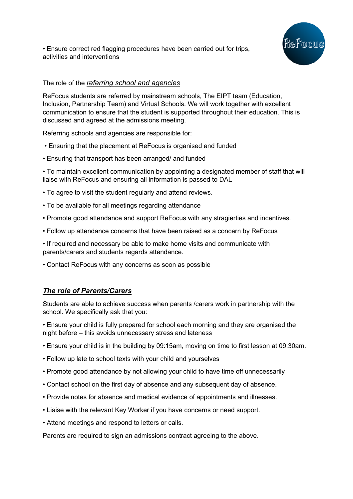• Ensure correct red flagging procedures have been carried out for trips, activities and interventions



### The role of the *referring school and agencies*

ReFocus students are referred by mainstream schools, The EIPT team (Education, Inclusion, Partnership Team) and Virtual Schools. We will work together with excellent communication to ensure that the student is supported throughout their education. This is discussed and agreed at the admissions meeting.

Referring schools and agencies are responsible for:

- Ensuring that the placement at ReFocus is organised and funded
- Ensuring that transport has been arranged/ and funded

• To maintain excellent communication by appointing a designated member of staff that will liaise with ReFocus and ensuring all information is passed to DAL

- To agree to visit the student regularly and attend reviews.
- To be available for all meetings regarding attendance
- Promote good attendance and support ReFocus with any stragierties and incentives.
- Follow up attendance concerns that have been raised as a concern by ReFocus
- If required and necessary be able to make home visits and communicate with parents/carers and students regards attendance.
- Contact ReFocus with any concerns as soon as possible

### *The role of Parents/Carers*

Students are able to achieve success when parents /carers work in partnership with the school. We specifically ask that you:

• Ensure your child is fully prepared for school each morning and they are organised the night before – this avoids unnecessary stress and lateness

- Ensure your child is in the building by 09:15am, moving on time to first lesson at 09.30am.
- Follow up late to school texts with your child and yourselves
- Promote good attendance by not allowing your child to have time off unnecessarily
- Contact school on the first day of absence and any subsequent day of absence.
- Provide notes for absence and medical evidence of appointments and illnesses.
- Liaise with the relevant Key Worker if you have concerns or need support.
- Attend meetings and respond to letters or calls.

Parents are required to sign an admissions contract agreeing to the above.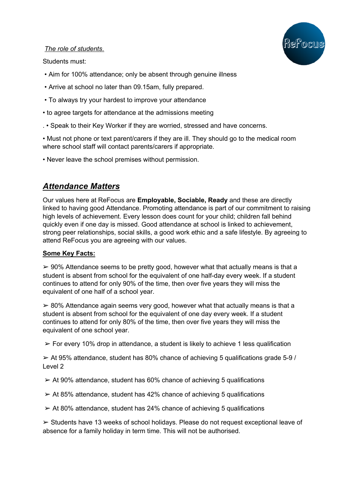

### *The role of students*.

Students must:

- Aim for 100% attendance; only be absent through genuine illness
- Arrive at school no later than 09.15am, fully prepared.
- To always try your hardest to improve your attendance
- to agree targets for attendance at the admissions meeting
- . Speak to their Key Worker if they are worried, stressed and have concerns.

• Must not phone or text parent/carers if they are ill. They should go to the medical room where school staff will contact parents/carers if appropriate.

• Never leave the school premises without permission.

## *Attendance Matters*

Our values here at ReFocus are **Employable, Sociable, Ready** and these are directly linked to having good Attendance. Promoting attendance is part of our commitment to raising high levels of achievement. Every lesson does count for your child; children fall behind quickly even if one day is missed. Good attendance at school is linked to achievement, strong peer relationships, social skills, a good work ethic and a safe lifestyle. By agreeing to attend ReFocus you are agreeing with our values.

### **Some Key Facts:**

 $\geq 90\%$  Attendance seems to be pretty good, however what that actually means is that a student is absent from school for the equivalent of one half-day every week. If a student continues to attend for only 90% of the time, then over five years they will miss the equivalent of one half of a school year.

 $\geq$  80% Attendance again seems very good, however what that actually means is that a student is absent from school for the equivalent of one day every week. If a student continues to attend for only 80% of the time, then over five years they will miss the equivalent of one school year.

 $\geq$  For every 10% drop in attendance, a student is likely to achieve 1 less qualification

 $\geq$  At 95% attendance, student has 80% chance of achieving 5 qualifications grade 5-9 / Level 2

- $\geq$  At 90% attendance, student has 60% chance of achieving 5 qualifications
- $\geq$  At 85% attendance, student has 42% chance of achieving 5 qualifications
- $\geq$  At 80% attendance, student has 24% chance of achieving 5 qualifications

 $\triangleright$  Students have 13 weeks of school holidays. Please do not request exceptional leave of absence for a family holiday in term time. This will not be authorised.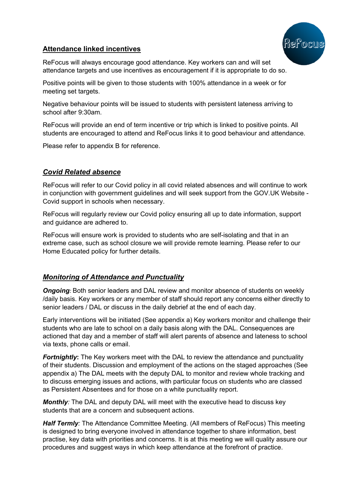

## **Attendance linked incentives**

ReFocus will always encourage good attendance. Key workers can and will set attendance targets and use incentives as encouragement if it is appropriate to do so.

Positive points will be given to those students with 100% attendance in a week or for meeting set targets.

Negative behaviour points will be issued to students with persistent lateness arriving to school after 9:30am.

ReFocus will provide an end of term incentive or trip which is linked to positive points. All students are encouraged to attend and ReFocus links it to good behaviour and attendance.

Please refer to appendix B for reference.

### *Covid Related absence*

ReFocus will refer to our Covid policy in all covid related absences and will continue to work in conjunction with government guidelines and will seek support from the GOV.UK Website - Covid support in schools when necessary.

ReFocus will regularly review our Covid policy ensuring all up to date information, support and guidance are adhered to.

ReFocus will ensure work is provided to students who are self-isolating and that in an extreme case, such as school closure we will provide remote learning. Please refer to our Home Educated policy for further details.

## *Monitoring of Attendance and Punctuality*

*Ongoing:* Both senior leaders and DAL review and monitor absence of students on weekly /daily basis. Key workers or any member of staff should report any concerns either directly to senior leaders / DAL or discuss in the daily debrief at the end of each day.

Early interventions will be initiated (See appendix a) Key workers monitor and challenge their students who are late to school on a daily basis along with the DAL. Consequences are actioned that day and a member of staff will alert parents of absence and lateness to school via texts, phone calls or email.

*Fortnightly:* The Key workers meet with the DAL to review the attendance and punctuality of their students. Discussion and employment of the actions on the staged approaches (See appendix a) The DAL meets with the deputy DAL to monitor and review whole tracking and to discuss emerging issues and actions, with particular focus on students who are classed as Persistent Absentees and for those on a white punctuality report.

*Monthly:* The DAL and deputy DAL will meet with the executive head to discuss key students that are a concern and subsequent actions.

*Half Termly:* The Attendance Committee Meeting. (All members of ReFocus) This meeting is designed to bring everyone involved in attendance together to share information, best practise, key data with priorities and concerns. It is at this meeting we will quality assure our procedures and suggest ways in which keep attendance at the forefront of practice.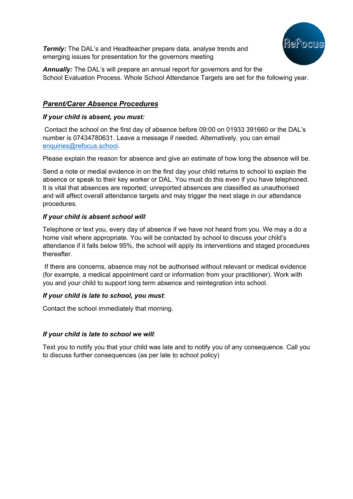

**Termly:** The DAL's and Headteacher prepare data, analyse trends and emerging issues for presentation for the governors meeting

**Annually:** The DAL's will prepare an annual report for governors and for the School Evaluation Process. Whole School Attendance Targets are set for the following year.

### *Parent/Carer Absence Procedures*

### *If your child is absent, you must:*

Contact the school on the first day of absence before 09:00 on 01933 391660 or the DAL's number is 07434780631. Leave a message if needed. Alternatively, you can email enquiries@refocus.school.

Please explain the reason for absence and give an estimate of how long the absence will be.

Send a note or medial evidence in on the first day your child returns to school to explain the absence or speak to their key worker or DAL. You must do this even if you have telephoned. It is vital that absences are reported; unreported absences are classified as unauthorised and will affect overall attendance targets and may trigger the next stage in our attendance procedures.

### *If your child is absent school will*:

Telephone or text you, every day of absence if we have not heard from you. We may a do a home visit where appropriate. You will be contacted by school to discuss your child's attendance if it falls below 95%, the school will apply its interventions and staged procedures thereafter.

If there are concerns, absence may not be authorised without relevant or medical evidence (for example, a medical appointment card or information from your practitioner). Work with you and your child to support long term absence and reintegration into school.

#### *If your child is late to school, you must*:

Contact the school immediately that morning.

### *If your child is late to school we will*:

Text you to notify you that your child was late and to notify you of any consequence. Call you to discuss further consequences (as per late to school policy)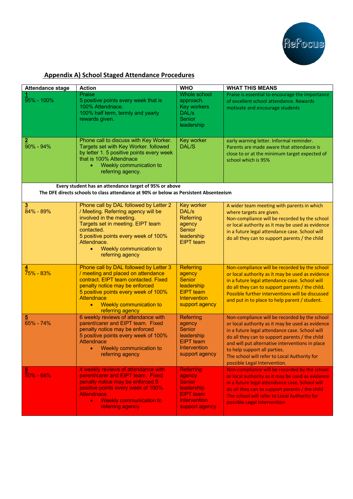

## **Appendix A) School Staged Attendance Procedures**

| <b>Attendance stage</b>     | <b>Action</b>                                                                                                                                                                                                                                                                   | <b>WHO</b>                                                                                                             | <b>WHAT THIS MEANS</b>                                                                                                                                                                                                                                                                                                                                                   |
|-----------------------------|---------------------------------------------------------------------------------------------------------------------------------------------------------------------------------------------------------------------------------------------------------------------------------|------------------------------------------------------------------------------------------------------------------------|--------------------------------------------------------------------------------------------------------------------------------------------------------------------------------------------------------------------------------------------------------------------------------------------------------------------------------------------------------------------------|
| 95% - 100%                  | Praise<br>5 positive points every week that is<br>100% Attendnace.<br>100% half term, termly and yearly<br>rewards given.                                                                                                                                                       | Whole school<br>approach.<br><b>Key workers</b><br>DAL/s<br>Senior<br>leadership                                       | Praise is essential to encourage the importance<br>of excellent school attendance. Rewards<br>motivate and encourage students                                                                                                                                                                                                                                            |
| $90\% - 94\%$               | Phone call to discuss with Key Worker.<br>Targets set with Key Worker. followed<br>by letter 1. 5 positive points every week<br>that is 100% Attendnace<br>Weekly communication to<br>$\bullet$<br>referring agency.                                                            | Key worker<br><b>DAL/S</b>                                                                                             | early warning letter. Informal reminder.<br>Parents are made aware that attendance is<br>close to or at the minimum target expected of<br>school which is 95%                                                                                                                                                                                                            |
|                             | Every student has an attendance target of 95% or above<br>The DFE directs schools to class attendance at 90% or below as Persistent Absenteeism                                                                                                                                 |                                                                                                                        |                                                                                                                                                                                                                                                                                                                                                                          |
| $\overline{3}$<br>84% - 89% | Phone call by DAL followed by Letter 2<br>/ Meeting. Referring agency will be<br>involved in the meeting.<br>Targets set in meeting. EIPT team<br>contacted.<br>5 positive points every week of 100%<br>Attendnace.<br>Weekly communication to<br>$\bullet$<br>referring agency | Key worker<br>DAL/s<br>Referring<br>agency<br>Senior<br>leadership<br><b>EIPT</b> team                                 | A wider team meeting with parents in which<br>where targets are given.<br>Non-compliance will be recorded by the school<br>or local authority as it may be used as evidence<br>in a future legal attendance case. School will<br>do all they can to support parents / the child                                                                                          |
| <mark>4</mark><br>75% - 83% | Phone call by DAL followed by Letter 3<br>/ meeting and placed on attendance<br>contract. EIPT team contacted. Fixed<br>penalty notice may be enforced<br>5 positive points every week of 100%<br><b>Attendnace</b><br>Weekly communication to<br>$\bullet$<br>referring agency | <b>Referring</b><br>agency<br><b>Senior</b><br>leadership<br><b>EIPT</b> team<br>Intervention<br>support agency        | Non-compliance will be recorded by the school<br>or local authority as it may be used as evidence<br>in a future legal attendance case. School will<br>do all they can to support parents / the child.<br>Possible further interventions will be discussed<br>and put in to place to help parent / student.                                                              |
| 65% - 74%                   | 6 weekly reviews of attendance with<br>parent/carer and EIPT team. Fixed<br>penalty notice may be enforced<br>5 positive points every week of 100%<br>Attendnace<br>• Weekly communication to<br>referring agency                                                               | Referring<br>agency<br>Senior<br>leadership<br><b>EIPT</b> team<br>Intervention<br>support agency                      | Non-compliance will be recorded by the school<br>or local authority as it may be used as evidence<br>in a future legal attendance case. School will<br>do all they can to support parents / the child<br>and will put alternative interventions in place<br>to help support all parties.<br>The school will refer to Local Authority for<br>possible Legal Intervention. |
| $50\% - 64\%$               | 4 weekly reviews of attendance with<br>parent/carer and EIPT team. Fixed<br>penalty notice may be enforced 5<br>positive points every week of 100%<br><b>Attendnace</b><br><b>Weekly communication to</b><br>$\bullet$<br>referring agency                                      | <b>Referring</b><br>agency<br><b>Senior</b><br>leadership<br><b>EIPT</b> team<br><b>Intervention</b><br>support agency | Non-compliance will be recorded by the school<br>or local authority as it may be used as evidence<br>in a future legal attendance case. School will<br>do all they can to support parents / the child<br>The school will refer to Local Authority for<br>possible Legal Intervention                                                                                     |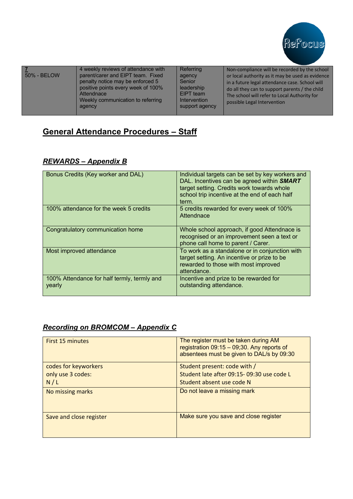

| 50% - BELOW | 4 weekly reviews of attendance with<br>parent/carer and EIPT team. Fixed<br>penalty notice may be enforced 5<br>positive points every week of 100%<br>Attendnace<br>Weekly communication to referring<br>agency | Referring<br>agency<br>Senior<br>leadership<br>EIPT team<br>Intervention<br>support agency | Non-compliance will be recorded by the school<br>or local authority as it may be used as evidence<br>in a future legal attendance case. School will<br>do all they can to support parents / the child<br>The school will refer to Local Authority for<br>possible Legal Intervention |
|-------------|-----------------------------------------------------------------------------------------------------------------------------------------------------------------------------------------------------------------|--------------------------------------------------------------------------------------------|--------------------------------------------------------------------------------------------------------------------------------------------------------------------------------------------------------------------------------------------------------------------------------------|
|-------------|-----------------------------------------------------------------------------------------------------------------------------------------------------------------------------------------------------------------|--------------------------------------------------------------------------------------------|--------------------------------------------------------------------------------------------------------------------------------------------------------------------------------------------------------------------------------------------------------------------------------------|

# **General Attendance Procedures – Staff**

## *REWARDS – Appendix B*

| Bonus Credits (Key worker and DAL)                    | Individual targets can be set by key workers and<br>DAL. Incentives can be agreed within <b>SMART</b><br>target setting. Credits work towards whole<br>school trip incentive at the end of each half<br>term. |
|-------------------------------------------------------|---------------------------------------------------------------------------------------------------------------------------------------------------------------------------------------------------------------|
| 100% attendance for the week 5 credits                | 5 credits rewarded for every week of 100%<br>Attendnace                                                                                                                                                       |
| Congratulatory communication home                     | Whole school approach, if good Attendnace is<br>recognised or an improvement seen a text or<br>phone call home to parent / Carer.                                                                             |
| Most improved attendance                              | To work as a standalone or in conjunction with<br>target setting. An incentive or prize to be<br>rewarded to those with most improved<br>attendance.                                                          |
| 100% Attendance for half termly, termly and<br>yearly | Incentive and prize to be rewarded for<br>outstanding attendance.                                                                                                                                             |

## *Recording on BROMCOM – Appendix C*

| First 15 minutes        | The register must be taken during AM<br>registration $09:15 - 09:30$ . Any reports of<br>absentees must be given to DAL/s by 09:30 |
|-------------------------|------------------------------------------------------------------------------------------------------------------------------------|
| codes for keyworkers    | Student present: code with /                                                                                                       |
| only use 3 codes:       | Student late after 09:15-09:30 use code L                                                                                          |
| N/L                     | Student absent use code N                                                                                                          |
| No missing marks        | Do not leave a missing mark                                                                                                        |
| Save and close register | Make sure you save and close register                                                                                              |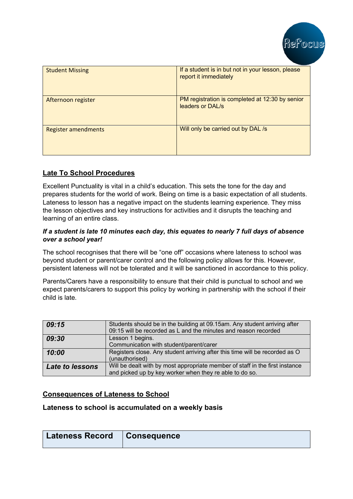

| <b>Student Missing</b>     | If a student is in but not in your lesson, please<br>report it immediately |
|----------------------------|----------------------------------------------------------------------------|
| Afternoon register         | PM registration is completed at 12:30 by senior<br>leaders or DAL/s        |
| <b>Register amendments</b> | Will only be carried out by DAL /s                                         |

### **Late To School Procedures**

Excellent Punctuality is vital in a child's education. This sets the tone for the day and prepares students for the world of work. Being on time is a basic expectation of all students. Lateness to lesson has a negative impact on the students learning experience. They miss the lesson objectives and key instructions for activities and it disrupts the teaching and learning of an entire class.

### *If a student is late 10 minutes each day, this equates to nearly 7 full days of absence over a school year!*

The school recognises that there will be "one off" occasions where lateness to school was beyond student or parent/carer control and the following policy allows for this. However, persistent lateness will not be tolerated and it will be sanctioned in accordance to this policy.

Parents/Carers have a responsibility to ensure that their child is punctual to school and we expect parents/carers to support this policy by working in partnership with the school if their child is late.

| 09:15                  | Students should be in the building at 09.15am. Any student arriving after<br>09:15 will be recorded as L and the minutes and reason recorded |
|------------------------|----------------------------------------------------------------------------------------------------------------------------------------------|
| 09:30                  | Lesson 1 begins.<br>Communication with student/parent/carer                                                                                  |
| 10:00                  | Registers close. Any student arriving after this time will be recorded as O<br>(unauthorised)                                                |
| <b>Late to lessons</b> | Will be dealt with by most appropriate member of staff in the first instance<br>and picked up by key worker when they re able to do so.      |

### **Consequences of Lateness to School**

### **Lateness to school is accumulated on a weekly basis**

| <b>Lateness Record</b> | Consequence |
|------------------------|-------------|
|                        |             |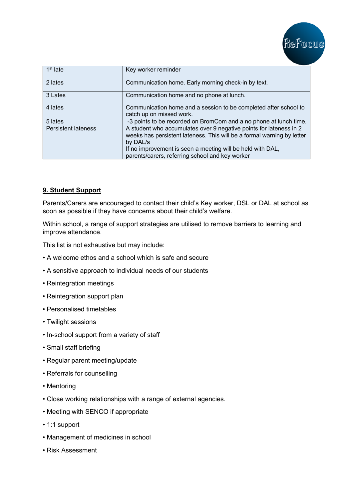

| $1st$ late                 | Key worker reminder                                                                                                                                                                                                                                                       |
|----------------------------|---------------------------------------------------------------------------------------------------------------------------------------------------------------------------------------------------------------------------------------------------------------------------|
| 2 lates                    | Communication home. Early morning check-in by text.                                                                                                                                                                                                                       |
| 3 Lates                    | Communication home and no phone at lunch.                                                                                                                                                                                                                                 |
| 4 lates                    | Communication home and a session to be completed after school to<br>catch up on missed work.                                                                                                                                                                              |
| 5 lates                    | -3 points to be recorded on BromCom and a no phone at lunch time.                                                                                                                                                                                                         |
| <b>Persistent lateness</b> | A student who accumulates over 9 negative points for lateness in 2<br>weeks has persistent lateness. This will be a formal warning by letter<br>by DAL/s<br>If no improvement is seen a meeting will be held with DAL,<br>parents/carers, referring school and key worker |

### **9. Student Support**

Parents/Carers are encouraged to contact their child's Key worker, DSL or DAL at school as soon as possible if they have concerns about their child's welfare.

Within school, a range of support strategies are utilised to remove barriers to learning and improve attendance.

This list is not exhaustive but may include:

- A welcome ethos and a school which is safe and secure
- A sensitive approach to individual needs of our students
- Reintegration meetings
- Reintegration support plan
- Personalised timetables
- Twilight sessions
- In-school support from a variety of staff
- Small staff briefing
- Regular parent meeting/update
- Referrals for counselling
- Mentoring
- Close working relationships with a range of external agencies.
- Meeting with SENCO if appropriate
- 1:1 support
- Management of medicines in school
- Risk Assessment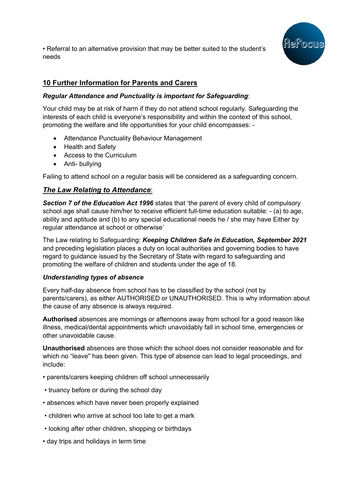

• Referral to an alternative provision that may be better suited to the student's needs

## **10 Further Information for Parents and Carers**

### *Regular Attendance and Punctuality is important for Safeguarding*:

Your child may be at risk of harm if they do not attend school regularly. Safeguarding the interests of each child is everyone's responsibility and within the context of this school, promoting the welfare and life opportunities for your child encompasses: -

- Attendance Punctuality Behaviour Management
- Health and Safety
- Access to the Curriculum
- Anti- bullying

Failing to attend school on a regular basis will be considered as a safeguarding concern.

## *The Law Relating to Attendance*:

*Section 7 of the Education Act 1996* states that 'the parent of every child of compulsory school age shall cause him/her to receive efficient full-time education suitable: - (a) to age, ability and aptitude and (b) to any special educational needs he / she may have Either by regular attendance at school or otherwise'

The Law relating to Safeguarding: *Keeping Children Safe in Education, September 2021* and preceding legislation places a duty on local authorities and governing bodies to have regard to guidance issued by the Secretary of State with regard to safeguarding and promoting the welfare of children and students under the age of 18.

### *Understanding types of absence*

Every half-day absence from school has to be classified by the school (not by parents/carers), as either AUTHORISED or UNAUTHORISED. This is why information about the cause of any absence is always required.

**Authorised** absences are mornings or afternoons away from school for a good reason like illness, medical/dental appointments which unavoidably fall in school time, emergencies or other unavoidable cause.

**Unauthorised** absences are those which the school does not consider reasonable and for which no "leave" has been given. This type of absence can lead to legal proceedings, and include:

- parents/carers keeping children off school unnecessarily
- truancy before or during the school day
- absences which have never been properly explained
- children who arrive at school too late to get a mark
- looking after other children, shopping or birthdays
- day trips and holidays in term time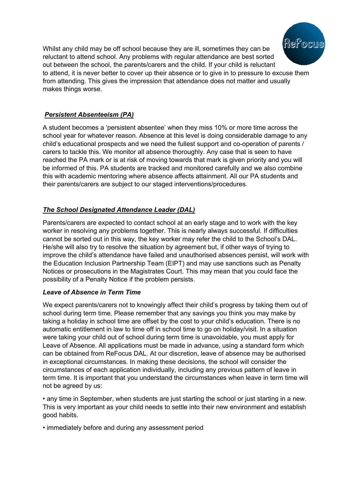

Whilst any child may be off school because they are ill, sometimes they can be reluctant to attend school. Any problems with regular attendance are best sorted out between the school, the parents/carers and the child. If your child is reluctant to attend, it is never better to cover up their absence or to give in to pressure to excuse them from attending. This gives the impression that attendance does not matter and usually makes things worse.

## *Persistent Absenteeism (PA)*

A student becomes a 'persistent absentee' when they miss 10% or more time across the school year for whatever reason. Absence at this level is doing considerable damage to any child's educational prospects and we need the fullest support and co-operation of parents / carers to tackle this. We monitor all absence thoroughly. Any case that is seen to have reached the PA mark or is at risk of moving towards that mark is given priority and you will be informed of this. PA students are tracked and monitored carefully and we also combine this with academic mentoring where absence affects attainment. All our PA students and their parents/carers are subject to our staged interventions/procedures.

## *The School Designated Attendance Leader (DAL)*

Parents/carers are expected to contact school at an early stage and to work with the key worker in resolving any problems together. This is nearly always successful. If difficulties cannot be sorted out in this way, the key worker may refer the child to the School's DAL. He/she will also try to resolve the situation by agreement but, if other ways of trying to improve the child's attendance have failed and unauthorised absences persist, will work with the Education Inclusion Partnership Team (EIPT) and may use sanctions such as Penalty Notices or prosecutions in the Magistrates Court. This may mean that you could face the possibility of a Penalty Notice if the problem persists.

### *Leave of Absence in Term Time*

We expect parents/carers not to knowingly affect their child's progress by taking them out of school during term time. Please remember that any savings you think you may make by taking a holiday in school time are offset by the cost to your child's education. There is no automatic entitlement in law to time off in school time to go on holiday/visit. In a situation were taking your child out of school during term time is unavoidable, you must apply for Leave of Absence. All applications must be made in advance, using a standard form which can be obtained from ReFocus DAL. At our discretion, leave of absence may be authorised in exceptional circumstances. In making these decisions, the school will consider the circumstances of each application individually, including any previous pattern of leave in term time. It is important that you understand the circumstances when leave in term time will not be agreed by us:

• any time in September, when students are just starting the school or just starting in a new. This is very important as your child needs to settle into their new environment and establish good habits.

• immediately before and during any assessment period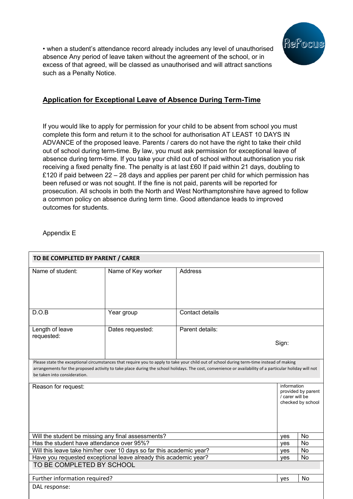

• when a student's attendance record already includes any level of unauthorised absence Any period of leave taken without the agreement of the school, or in excess of that agreed, will be classed as unauthorised and will attract sanctions such as a Penalty Notice.

## **Application for Exceptional Leave of Absence During Term-Time**

If you would like to apply for permission for your child to be absent from school you must complete this form and return it to the school for authorisation AT LEAST 10 DAYS IN ADVANCE of the proposed leave. Parents / carers do not have the right to take their child out of school during term-time. By law, you must ask permission for exceptional leave of absence during term-time. If you take your child out of school without authorisation you risk receiving a fixed penalty fine. The penalty is at last £60 If paid within 21 days, doubling to £120 if paid between 22 – 28 days and applies per parent per child for which permission has been refused or was not sought. If the fine is not paid, parents will be reported for prosecution. All schools in both the North and West Northamptonshire have agreed to follow a common policy on absence during term time. Good attendance leads to improved outcomes for students.

Appendix E

| TO BE COMPLETED BY PARENT / CARER                                                             |                                                                                                                                                                                                                                                                                                     |                 |                                                                           |           |
|-----------------------------------------------------------------------------------------------|-----------------------------------------------------------------------------------------------------------------------------------------------------------------------------------------------------------------------------------------------------------------------------------------------------|-----------------|---------------------------------------------------------------------------|-----------|
| Name of student:                                                                              | Name of Key worker                                                                                                                                                                                                                                                                                  | <b>Address</b>  |                                                                           |           |
| D.O.B                                                                                         | Year group                                                                                                                                                                                                                                                                                          | Contact details |                                                                           |           |
| Length of leave<br>requested:                                                                 | Dates requested:                                                                                                                                                                                                                                                                                    | Parent details: | Sign:                                                                     |           |
| be taken into consideration.                                                                  | Please state the exceptional circumstances that require you to apply to take your child out of school during term-time instead of making<br>arrangements for the proposed activity to take place during the school holidays. The cost, convenience or availability of a particular holiday will not |                 |                                                                           |           |
| Reason for request:                                                                           |                                                                                                                                                                                                                                                                                                     |                 | information<br>provided by parent<br>/ carer will be<br>checked by school |           |
| Will the student be missing any final assessments?                                            |                                                                                                                                                                                                                                                                                                     |                 | yes                                                                       | <b>No</b> |
| Has the student have attendance over 95%?                                                     |                                                                                                                                                                                                                                                                                                     |                 | ves                                                                       | No        |
| Will this leave take him/her over 10 days so far this academic year?                          |                                                                                                                                                                                                                                                                                                     | yes             | No                                                                        |           |
| Have you requested exceptional leave already this academic year?<br>TO BE COMPLETED BY SCHOOL |                                                                                                                                                                                                                                                                                                     | yes             | <b>No</b>                                                                 |           |
| Further information required?                                                                 |                                                                                                                                                                                                                                                                                                     |                 | yes                                                                       | <b>No</b> |
| DAL response:                                                                                 |                                                                                                                                                                                                                                                                                                     |                 |                                                                           |           |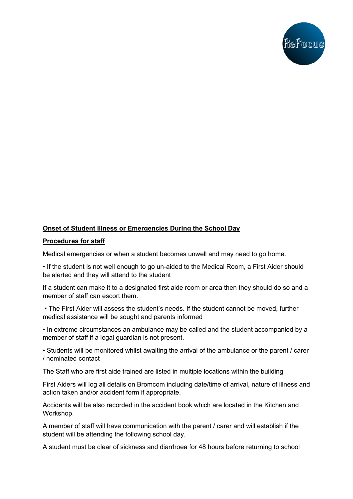

### **Onset of Student Illness or Emergencies During the School Day**

#### **Procedures for staff**

Medical emergencies or when a student becomes unwell and may need to go home.

• If the student is not well enough to go un-aided to the Medical Room, a First Aider should be alerted and they will attend to the student

If a student can make it to a designated first aide room or area then they should do so and a member of staff can escort them.

• The First Aider will assess the student's needs. If the student cannot be moved, further medical assistance will be sought and parents informed

• In extreme circumstances an ambulance may be called and the student accompanied by a member of staff if a legal guardian is not present.

• Students will be monitored whilst awaiting the arrival of the ambulance or the parent / carer / nominated contact

The Staff who are first aide trained are listed in multiple locations within the building

First Aiders will log all details on Bromcom including date/time of arrival, nature of illness and action taken and/or accident form if appropriate.

Accidents will be also recorded in the accident book which are located in the Kitchen and Workshop.

A member of staff will have communication with the parent / carer and will establish if the student will be attending the following school day.

A student must be clear of sickness and diarrhoea for 48 hours before returning to school